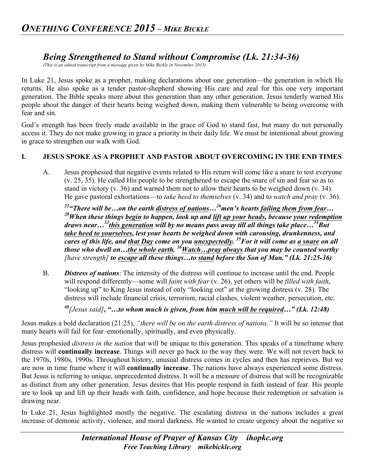# *Being Strengthened to Stand without Compromise (Lk. 21:34-36)*

*(This is an edited transcript from a message given by Mike Bickle in November 2015)*

In Luke 21, Jesus spoke as a prophet, making declarations about one generation—the generation in which He returns. He also spoke as a tender pastor-shepherd showing His care and zeal for this one very important generation. The Bible speaks more about this generation than any other generation. Jesus tenderly warned His people about the danger of their hearts being weighed down, making them vulnerable to being overcome with fear and sin.

God's strength has been freely made available in the grace of God to stand fast, but many do not personally access it. They do not make growing in grace a priority in their daily life. We must be intentional about growing in grace to strengthen our walk with God.

### **I. JESUS SPOKE AS A PROPHET AND PASTOR ABOUT OVERCOMING IN THE END TIMES**

A. Jesus prophesied that negative events related to His return will come like a snare to test everyone (v. 25, 35). He called His people to be strengthened to escape the snare of sin and fear so as to stand in victory (v. 36) and warned them not to allow their hearts to be weighed down (v. 34). He gave pastoral exhortations—to *take heed to themselves* (v. 34) and to *watch and pray* (v. 36).

*25"There will be…on the earth distress of nations…26men's hearts failing them from fear… 28When these things begin to happen, look up and lift up your heads, because your redemption draws near…32this generation will by no means pass away till all things take place…34But take heed to yourselves, lest your hearts be weighed down with carousing, drunkenness, and cares of this life, and that Day come on you unexpectedly. 35For it will come as a snare on all those who dwell on…the whole earth. 36Watch…pray always that you may be counted worthy [have strength] to escape all these things…to stand before the Son of Man." (Lk. 21:25-36)*

B. *Distress of nations*: The intensity of the distress will continue to increase until the end. People will respond differently—some will *faint with fear* (v. 26), yet others will be *filled with faith*, "looking up" to King Jesus instead of only "looking out" at the growing distress (v. 28). The distress will include financial crisis, terrorism, racial clashes, violent weather, persecution, etc.

*<sup>48</sup>[Jesus said], "…to whom much is given, from him much will be required…" (Lk. 12:48)*

Jesus makes a bold declaration (21:25), *"there will be on the earth distress of nations."* It will be so intense that many hearts will fail for fear–emotionally, spiritually, and even physically.

Jesus prophesied *distress in the nation* that will be unique to this generation. This speaks of a timeframe where distress will **continually increase**. Things will never go back to the way they were. We will not revert back to the 1970s, 1980s, 1990s. Throughout history, unusual distress comes in cycles and then has reprieves. But we are now in time frame where it will **continually increase**. The nations have always experienced some distress. But Jesus is referring to unique, unprecedented distress. It will be a measure of distress that will be recognizable as distinct from any other generation. Jesus desires that His people respond in faith instead of fear. His people are to look up and lift up their heads with faith, confidence, and hope because their redemption or salvation is drawing near.

In Luke 21, Jesus highlighted mostly the negative. The escalating distress in the nations includes a great increase of demonic activity, violence, and moral darkness. He wanted to create urgency about the negative so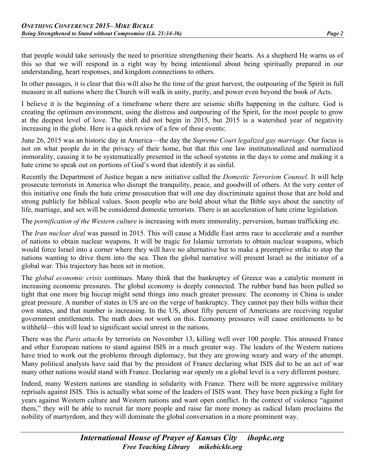that people would take seriously the need to prioritize strengthening their hearts. As a shepherd He warns us of this so that we will respond in a right way by being intentional about being spiritually prepared in our understanding, heart responses, and kingdom connections to others.

In other passages, it is clear that this will also be the time of the great harvest, the outpouring of the Spirit in full measure in all nations where the Church will walk in unity, purity, and power even beyond the book of Acts.

I believe it is the beginning of a timeframe where there are seismic shifts happening in the culture. God is creating the optimum environment, using the distress and outpouring of the Spirit, for the most people to grow at the deepest level of love. The shift did not begin in 2015, but 2015 is a watershed year of negativity increasing in the globe. Here is a quick review of a few of these events:

June 26, 2015 was an historic day in America—the day the *Supreme Court legalized gay marriage*. Our focus is not on what people do in the privacy of their home, but that this one law institutionalized and normalized immorality, causing it to be systematically presented in the school systems in the days to come and making it a hate crime to speak out on portions of God's word that identify it as sinful.

Recently the Department of Justice began a new initiative called the *Domestic Terrorism Counsel*. It will help prosecute terrorists in America who disrupt the tranquility, peace, and goodwill of others. At the very center of this initiative one finds the hate crime prosecution that will one day discriminate against those that are bold and strong publicly for biblical values. Soon people who are bold about what the Bible says about the sanctity of life, marriage, and sex will be considered domestic terrorists. There is an acceleration of hate crime legislation.

The *pornification of the Western culture* is increasing with more immorality, perversion, human trafficking etc.

The *Iran nuclear deal* was passed in 2015. This will cause a Middle East arms race to accelerate and a number of nations to obtain nuclear weapons. It will be tragic for Islamic terrorists to obtain nuclear weapons, which would force Israel into a corner where they will have no alternative but to make a preemptive strike to stop the nations wanting to drive them into the sea. Then the global narrative will present Israel as the initiator of a global war. This trajectory has been set in motion.

The *global economic crisis* continues. Many think that the bankruptcy of Greece was a catalytic moment in increasing economic pressures. The global economy is deeply connected. The rubber band has been pulled so tight that one more big hiccup might send things into much greater pressure. The economy in China is under great pressure. A number of states in US are on the verge of bankruptcy. They cannot pay their bills within their own states, and that number is increasing. In the US, about fifty percent of Americans are receiving regular government entitlements. The math does not work on this. Economy pressures will cause entitlements to be withheld—this will lead to significant social unrest in the nations.

There was the *Paris attacks* by terrorists on November 13, killing well over 100 people. This aroused France and other European nations to stand against ISIS in a much greater way. The leaders of the Western nations have tried to work out the problems through diplomacy, but they are growing weary and wary of the attempt. Many political analysts have said that by the president of France declaring what ISIS did to be an act of war many other nations would stand with France. Declaring war openly on a global level is a very different posture.

Indeed, many Western nations are standing in solidarity with France. There will be more aggressive military reprisals against ISIS. This is actually what some of the leaders of ISIS want. They have been picking a fight for years against Western culture and Western nations and want open conflict. In the context of violence "against them," they will be able to recruit far more people and raise far more money as radical Islam proclaims the nobility of martyrdom, and they will dominate the global conversation in a more prominent way.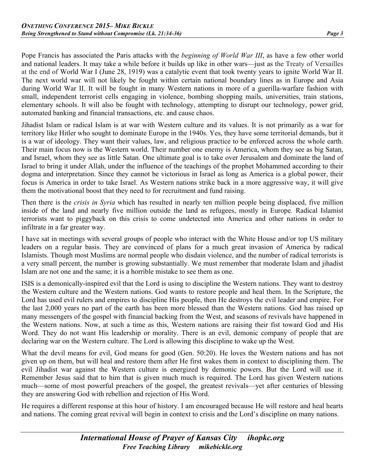Pope Francis has associated the Paris attacks with the *beginning of World War III*, as have a few other world and national leaders. It may take a while before it builds up like in other wars—just as the Treaty of Versailles at the end of World War I (June 28, 1919) was a catalytic event that took twenty years to ignite World War II. The next world war will not likely be fought within certain national boundary lines as in Europe and Asia during World War II. It will be fought in many Western nations in more of a guerilla-warfare fashion with small, independent terrorist cells engaging in violence, bombing shopping mails, universities, train stations, elementary schools. It will also be fought with technology, attempting to disrupt our technology, power grid, automated banking and financial transactions, etc. and cause chaos.

Jihadist Islam or radical Islam is at war with Western culture and its values. It is not primarily as a war for territory like Hitler who sought to dominate Europe in the 1940s. Yes, they have some territorial demands, but it is a war of ideology. They want their values, law, and religious practice to be enforced across the whole earth. Their main focus now is the Western world. Their number one enemy is America, whom they see as big Satan, and Israel, whom they see as little Satan. One ultimate goal is to take over Jerusalem and dominate the land of Israel to bring it under Allah, under the influence of the teachings of the prophet Mohammed according to their dogma and interpretation. Since they cannot be victorious in Israel as long as America is a global power, their focus is America in order to take Israel. As Western nations strike back in a more aggressive way, it will give them the motivational boost that they need to for recruitment and fund raising.

Then there is the *crisis in Syria* which has resulted in nearly ten million people being displaced, five million inside of the land and nearly five million outside the land as refugees, mostly in Europe. Radical Islamist terrorists want to piggyback on this crisis to come undetected into America and other nations in order to infiltrate in a far greater way.

I have sat in meetings with several groups of people who interact with the White House and/or top US military leaders on a regular basis. They are convinced of plans for a much great invasion of America by radical Islamists. Though most Muslims are normal people who disdain violence, and the number of radical terrorists is a very small percent, the number is growing substantially. We must remember that moderate Islam and jihadist Islam are not one and the same; it is a horrible mistake to see them as one.

ISIS is a demonically-inspired evil that the Lord is using to discipline the Western nations. They want to destroy the Western culture and the Western nations. God wants to restore people and heal them. In the Scripture, the Lord has used evil rulers and empires to discipline His people, then He destroys the evil leader and empire. For the last 2,000 years no part of the earth has been more blessed than the Western nations. God has raised up many messengers of the gospel with financial backing from the West, and seasons of revivals have happened in the Western nations. Now, at such a time as this, Western nations are raising their fist toward God and His Word. They do not want His leadership or morality. There is an evil, demonic company of people that are declaring war on the Western culture. The Lord is allowing this discipline to wake up the West.

What the devil means for evil, God means for good (Gen. 50:20). He loves the Western nations and has not given up on them, but will heal and restore them after He first wakes them in context to disciplining them. The evil Jihadist war against the Western culture is energized by demonic powers. But the Lord will use it. Remember Jesus said that to him that is given much much is required. The Lord has given Western nations much—some of most powerful preachers of the gospel, the greatest revivals—yet after centuries of blessing they are answering God with rebellion and rejection of His Word.

He requires a different response at this hour of history. I am encouraged because He will restore and heal hearts and nations. The coming great revival will begin in context to crisis and the Lord's discipline on many nations.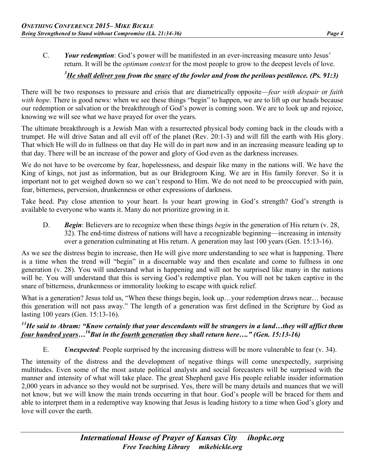C. *Your redemption*: God's power will be manifested in an ever-increasing measure unto Jesus' return. It will be the *optimum context* for the most people to grow to the deepest levels of love.

## *3 He shall deliver you from the snare of the fowler and from the perilous pestilence. (Ps. 91:3)*

There will be two responses to pressure and crisis that are diametrically opposite—*fear with despair* or *faith with hope*. There is good news: when we see these things "begin" to happen, we are to lift up our heads because our redemption or salvation or the breakthrough of God's power is coming soon. We are to look up and rejoice, knowing we will see what we have prayed for over the years.

The ultimate breakthrough is a Jewish Man with a resurrected physical body coming back in the clouds with a trumpet. He will drive Satan and all evil off of the planet (Rev. 20:1-3) and will fill the earth with His glory. That which He will do in fullness on that day He will do in part now and in an increasing measure leading up to that day. There will be an increase of the power and glory of God even as the darkness increases.

We do not have to be overcome by fear, hopelessness, and despair like many in the nations will. We have the King of kings, not just as information, but as our Bridegroom King. We are in His family forever. So it is important not to get weighed down so we can't respond to Him. We do not need to be preoccupied with pain, fear, bitterness, perversion, drunkenness or other expressions of darkness.

Take heed. Pay close attention to your heart. Is your heart growing in God's strength? God's strength is available to everyone who wants it. Many do not prioritize growing in it.

D. *Begin*: Believers are to recognize when these things *begin* in the generation of His return (v. 28, 32). The end-time distress of nations will have a recognizable beginning—increasing in intensity over a generation culminating at His return. A generation may last 100 years (Gen. 15:13-16).

As we see the distress begin to increase, then He will give more understanding to see what is happening. There is a time when the trend will "begin" in a discernable way and then escalate and come to fullness in one generation (v. 28). You will understand what is happening and will not be surprised like many in the nations will be. You will understand that this is serving God's redemptive plan. You will not be taken captive in the snare of bitterness, drunkenness or immorality looking to escape with quick relief.

What is a generation? Jesus told us, "When these things begin, look up…your redemption draws near… because this generation will not pass away." The length of a generation was first defined in the Scripture by God as lasting 100 years (Gen. 15:13-16).

### *13He said to Abram: "Know certainly that your descendants will be strangers in a land…they will afflict them four hundred years…16But in the fourth generation they shall return here…." (Gen. 15:13-16)*

E. *Unexpected*: People surprised by the increasing distress will be more vulnerable to fear (v. 34).

The intensity of the distress and the development of negative things will come unexpectedly, surprising multitudes. Even some of the most astute political analysts and social forecasters will be surprised with the manner and intensity of what will take place. The great Shepherd gave His people reliable insider information 2,000 years in advance so they would not be surprised. Yes, there will be many details and nuances that we will not know, but we will know the main trends occurring in that hour. God's people will be braced for them and able to interpret them in a redemptive way knowing that Jesus is leading history to a time when God's glory and love will cover the earth.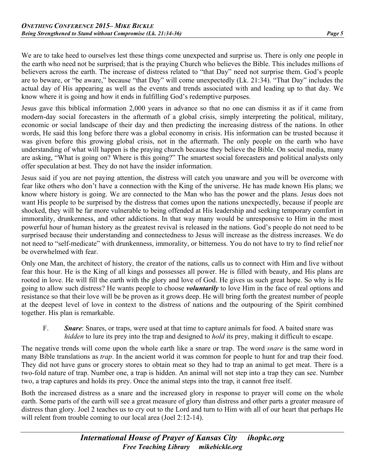We are to take heed to ourselves lest these things come unexpected and surprise us. There is only one people in the earth who need not be surprised; that is the praying Church who believes the Bible. This includes millions of believers across the earth. The increase of distress related to "that Day" need not surprise them. God's people are to beware, or "be aware," because "that Day" will come unexpectedly (Lk. 21:34). "That Day" includes the actual day of His appearing as well as the events and trends associated with and leading up to that day. We know where it is going and how it ends in fulfilling God's redemptive purposes.

Jesus gave this biblical information 2,000 years in advance so that no one can dismiss it as if it came from modern-day social forecasters in the aftermath of a global crisis, simply interpreting the political, military, economic or social landscape of their day and then predicting the increasing distress of the nations. In other words, He said this long before there was a global economy in crisis. His information can be trusted because it was given before this growing global crisis, not in the aftermath. The only people on the earth who have understanding of what will happen is the praying church because they believe the Bible. On social media, many are asking, "What is going on? Where is this going?" The smartest social forecasters and political analysts only offer speculation at best. They do not have the insider information.

Jesus said if you are not paying attention, the distress will catch you unaware and you will be overcome with fear like others who don't have a connection with the King of the universe. He has made known His plans; we know where history is going. We are connected to the Man who has the power and the plans. Jesus does not want His people to be surprised by the distress that comes upon the nations unexpectedly, because if people are shocked, they will be far more vulnerable to being offended at His leadership and seeking temporary comfort in immorality, drunkenness, and other addictions. In that way many would be unresponsive to Him in the most powerful hour of human history as the greatest revival is released in the nations. God's people do not need to be surprised because their understanding and connectedness to Jesus will increase as the distress increases. We do not need to "self-medicate" with drunkenness, immorality, or bitterness. You do not have to try to find relief nor be overwhelmed with fear.

Only one Man, the architect of history, the creator of the nations, calls us to connect with Him and live without fear this hour. He is the King of all kings and possesses all power. He is filled with beauty, and His plans are rooted in love. He will fill the earth with the glory and love of God. He gives us such great hope. So why is He going to allow such distress? He wants people to choose *voluntarily* to love Him in the face of real options and resistance so that their love will be be proven as it grows deep. He will bring forth the greatest number of people at the deepest level of love in context to the distress of nations and the outpouring of the Spirit combined together. His plan is remarkable.

F. *Snare*: Snares, or traps, were used at that time to capture animals for food. A baited snare was *hidden* to lure its prey into the trap and designed to *hold* its prey, making it difficult to escape.

The negative trends will come upon the whole earth like a snare or trap. The word *snare* is the same word in many Bible translations as *trap*. In the ancient world it was common for people to hunt for and trap their food. They did not have guns or grocery stores to obtain meat so they had to trap an animal to get meat. There is a two-fold nature of trap. Number one, a trap is hidden. An animal will not step into a trap they can see. Number two, a trap captures and holds its prey. Once the animal steps into the trap, it cannot free itself.

Both the increased distress as a snare and the increased glory in response to prayer will come on the whole earth. Some parts of the earth will see a great measure of glory than distress and other parts a greater measure of distress than glory. Joel 2 teaches us to cry out to the Lord and turn to Him with all of our heart that perhaps He will relent from trouble coming to our local area (Joel 2:12-14).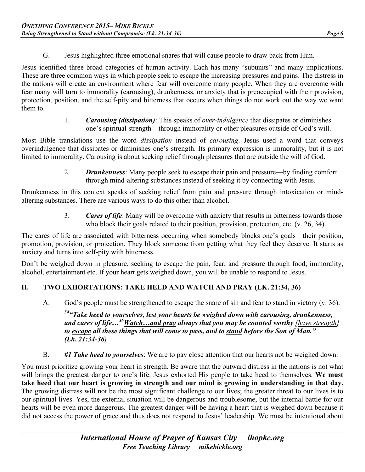- 
- G. Jesus highlighted three emotional snares that will cause people to draw back from Him.

Jesus identified three broad categories of human activity. Each has many "subunits" and many implications. These are three common ways in which people seek to escape the increasing pressures and pains. The distress in the nations will create an environment where fear will overcome many people. When they are overcome with fear many will turn to immorality (carousing), drunkenness, or anxiety that is preoccupied with their provision, protection, position, and the self-pity and bitterness that occurs when things do not work out the way we want them to.

> 1. *Carousing (dissipation)*: This speaks of *over-indulgence* that dissipates or diminishes one's spiritual strength—through immorality or other pleasures outside of God's will.

Most Bible translations use the word *dissipation* instead of *carousing*. Jesus used a word that conveys overindulgence that dissipates or diminishes one's strength. Its primary expression is immorality, but it is not limited to immorality. Carousing is about seeking relief through pleasures that are outside the will of God.

> 2. *Drunkenness*: Many people seek to escape their pain and pressure—by finding comfort through mind-altering substances instead of seeking it by connecting with Jesus.

Drunkenness in this context speaks of seeking relief from pain and pressure through intoxication or mindaltering substances. There are various ways to do this other than alcohol.

> 3. *Cares of life*: Many will be overcome with anxiety that results in bitterness towards those who block their goals related to their position, provision, protection, etc. (v. 26, 34).

The cares of life are associated with bitterness occurring when somebody blocks one's goals—their position, promotion, provision, or protection. They block someone from getting what they feel they deserve. It starts as anxiety and turns into self-pity with bitterness.

Don't be weighed down in pleasure, seeking to escape the pain, fear, and pressure through food, immorality, alcohol, entertainment etc. If your heart gets weighed down, you will be unable to respond to Jesus.

## **II. TWO EXHORTATIONS: TAKE HEED AND WATCH AND PRAY (LK. 21:34, 36)**

A. God's people must be strengthened to escape the snare of sin and fear to stand in victory (v. 36).

*34"Take heed to yourselves, lest your hearts be weighed down with carousing, drunkenness, and cares of life…36Watch…and pray always that you may be counted worthy [have strength] to escape all these things that will come to pass, and to stand before the Son of Man." (Lk. 21:34-36)*

B. *#1 Take heed to yourselves*: We are to pay close attention that our hearts not be weighed down.

You must prioritize growing your heart in strength. Be aware that the outward distress in the nations is not what will brings the greatest danger to one's life. Jesus exhorted His people to take heed to themselves. **We must take heed that our heart is growing in strength and our mind is growing in understanding in that day.**  The growing distress will not be the most significant challenge to our lives; the greater threat to our lives is to our spiritual lives. Yes, the external situation will be dangerous and troublesome, but the internal battle for our hearts will be even more dangerous. The greatest danger will be having a heart that is weighed down because it did not access the power of grace and thus does not respond to Jesus' leadership. We must be intentional about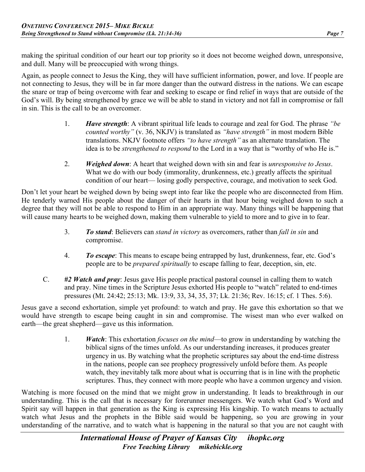making the spiritual condition of our heart our top priority so it does not become weighed down, unresponsive, and dull. Many will be preoccupied with wrong things.

Again, as people connect to Jesus the King, they will have sufficient information, power, and love. If people are not connecting to Jesus, they will be in far more danger than the outward distress in the nations. We can escape the snare or trap of being overcome with fear and seeking to escape or find relief in ways that are outside of the God's will. By being strengthened by grace we will be able to stand in victory and not fall in compromise or fall in sin. This is the call to be an overcomer.

- 1. *Have strength*: A vibrant spiritual life leads to courage and zeal for God. The phrase *"be counted worthy"* (v. 36, NKJV) is translated as *"have strength"* in most modern Bible translations. NKJV footnote offers *"to have strength"* as an alternate translation. The idea is to be *strengthened to respond* to the Lord in a way that is "worthy of who He is."
- 2. *Weighed down*: A heart that weighed down with sin and fear is *unresponsive to Jesus*. What we do with our body (immorality, drunkenness, etc.) greatly affects the spiritual condition of our heart— losing godly perspective, courage, and motivation to seek God.

Don't let your heart be weighed down by being swept into fear like the people who are disconnected from Him. He tenderly warned His people about the danger of their hearts in that hour being weighed down to such a degree that they will not be able to respond to Him in an appropriate way. Many things will be happening that will cause many hearts to be weighed down, making them vulnerable to yield to more and to give in to fear.

- 3. *To stand*: Believers can *stand in victory* as overcomers, rather than *fall in sin* and compromise.
- 4. *To escape*: This means to escape being entrapped by lust, drunkenness, fear, etc. God's people are to be *prepared spiritually* to escape falling to fear, deception, sin, etc.
- C. *#2 Watch and pray*: Jesus gave His people practical pastoral counsel in calling them to watch and pray. Nine times in the Scripture Jesus exhorted His people to "watch" related to end-times pressures (Mt. 24:42; 25:13; Mk. 13:9, 33, 34, 35, 37; Lk. 21:36; Rev. 16:15; cf. 1 Thes. 5:6).

Jesus gave a second exhortation, simple yet profound: to watch and pray. He gave this exhortation so that we would have strength to escape being caught in sin and compromise. The wisest man who ever walked on earth—the great shepherd—gave us this information.

> 1. *Watch*: This exhortation *focuses on the mind*—to grow in understanding by watching the biblical signs of the times unfold. As our understanding increases, it produces greater urgency in us. By watching what the prophetic scriptures say about the end-time distress in the nations, people can see prophecy progressively unfold before them. As people watch, they inevitably talk more about what is occurring that is in line with the prophetic scriptures. Thus, they connect with more people who have a common urgency and vision.

Watching is more focused on the mind that we might grow in understanding. It leads to breakthrough in our understanding. This is the call that is necessary for forerunner messengers. We watch what God's Word and Spirit say will happen in that generation as the King is expressing His kingship. To watch means to actually watch what Jesus and the prophets in the Bible said would be happening, so you are growing in your understanding of the narrative, and to watch what is happening in the natural so that you are not caught with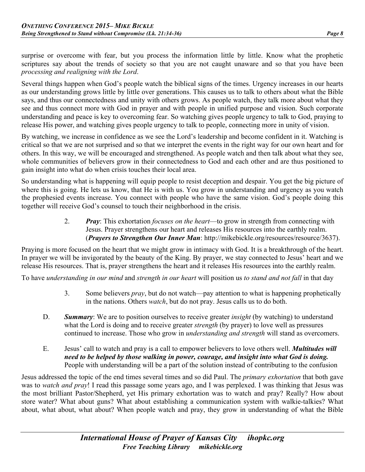surprise or overcome with fear, but you process the information little by little. Know what the prophetic scriptures say about the trends of society so that you are not caught unaware and so that you have been *processing and realigning with the Lord*.

Several things happen when God's people watch the biblical signs of the times. Urgency increases in our hearts as our understanding grows little by little over generations. This causes us to talk to others about what the Bible says, and thus our connectedness and unity with others grows. As people watch, they talk more about what they see and thus connect more with God in prayer and with people in unified purpose and vision. Such corporate understanding and peace is key to overcoming fear. So watching gives people urgency to talk to God, praying to release His power, and watching gives people urgency to talk to people, connecting more in unity of vision.

By watching, we increase in confidence as we see the Lord's leadership and become confident in it. Watching is critical so that we are not surprised and so that we interpret the events in the right way for our own heart and for others. In this way, we will be encouraged and strengthened. As people watch and then talk about what they see, whole communities of believers grow in their connectedness to God and each other and are thus positioned to gain insight into what do when crisis touches their local area.

So understanding what is happening will equip people to resist deception and despair. You get the big picture of where this is going. He lets us know, that He is with us. You grow in understanding and urgency as you watch the prophesied events increase. You connect with people who have the same vision. God's people doing this together will receive God's counsel to touch their neighborhood in the crisis.

> 2. *Pray*: This exhortation *focuses on the heart*—to grow in strength from connecting with Jesus. Prayer strengthens our heart and releases His resources into the earthly realm. (*Prayers to Strengthen Our Inner Man*: http://mikebickle.org/resources/resource/3637).

Praying is more focused on the heart that we might grow in intimacy with God. It is a breakthrough of the heart. In prayer we will be invigorated by the beauty of the King. By prayer, we stay connected to Jesus' heart and we release His resources. That is, prayer strengthens the heart and it releases His resources into the earthly realm.

To have *understanding in our mind* and *strength in our heart* will position us *to stand and not fall* in that day

- 3. Some believers *pray*, but do not watch—pay attention to what is happening prophetically in the nations. Others *watch*, but do not pray. Jesus calls us to do both.
- D. *Summary*: We are to position ourselves to receive greater *insight* (by watching) to understand what the Lord is doing and to receive greater *strength* (by prayer) to love well as pressures continued to increase. Those who grow in *understanding and strength* will stand as overcomers.
- E. Jesus' call to watch and pray is a call to empower believers to love others well. *Multitudes will need to be helped by those walking in power, courage, and insight into what God is doing.* People with understanding will be a part of the solution instead of contributing to the confusion

Jesus addressed the topic of the end times several times and so did Paul. The *primary exhortation* that both gave was to *watch and pray*! I read this passage some years ago, and I was perplexed. I was thinking that Jesus was the most brilliant Pastor/Shepherd, yet His primary exhortation was to watch and pray? Really? How about store water? What about guns? What about establishing a communication system with walkie-talkies? What about, what about, what about? When people watch and pray, they grow in understanding of what the Bible